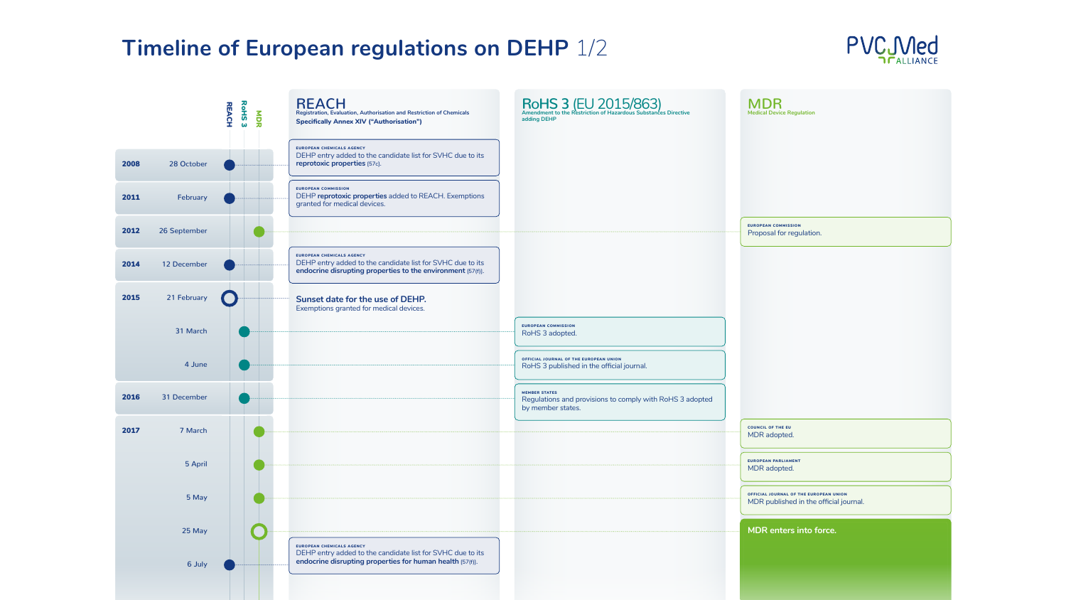EUROPEAN COMMISSION Proposal for regulation.

RoHS 3 adopted

COUNCIL OF THE EU MDR adopted.

EUROPEAN PARLIAMENT MDR adopted.

OFFICIAL JOURNAL OF THE EUROPEAN UNION MDR published in the official journal.

| <b>REACH</b><br><b>Registration, Evaluation, Authorisation and Restriction of Chemicals</b><br><b>Specifically Annex XIV ("Authorisation")</b>                | RoHS 3 (EU 2015/863)<br>adding DEHP                                                       |
|---------------------------------------------------------------------------------------------------------------------------------------------------------------|-------------------------------------------------------------------------------------------|
| EUROPEAN CHEMICALS AGENCY<br>DEHP entry added to the candidate list for SVHC due to its<br>reprotoxic properties [57c].                                       |                                                                                           |
| <b>EUROPEAN COMMISSION</b><br>DEHP reprotoxic properties added to REACH. Exemptions<br>granted for medical devices.                                           |                                                                                           |
| <b>EUROPEAN CHEMICALS AGENCY</b><br>DEHP entry added to the candidate list for SVHC due to its<br>endocrine disrupting properties to the environment [57(f)]. |                                                                                           |
| <b>Sunset date for the use of DEHP.</b><br>Exemptions granted for medical devices.                                                                            |                                                                                           |
|                                                                                                                                                               | <b>EUROPEAN COMMISSION</b><br>RoHS 3 adopted.                                             |
|                                                                                                                                                               | OFFICIAL JOURNAL OF THE EUROPEAN UNION<br>RoHS 3 published in the official journal.       |
|                                                                                                                                                               | <b>MEMBER STATES</b><br>Regulations and provisions to comply with Re<br>by member states. |
|                                                                                                                                                               |                                                                                           |
|                                                                                                                                                               |                                                                                           |
|                                                                                                                                                               |                                                                                           |
| EUROPEAN CHEMICALS AGENCY<br>DEHP entry added to the candidate list for SVHC due to its<br>endocrine disrupting properties for human health [57(f)].          |                                                                                           |



**Americiscy** 

**MDR enters into force.**

# **Timeline of European regulations on DEHP 1/2**



MDR **Medical Device Regulation**